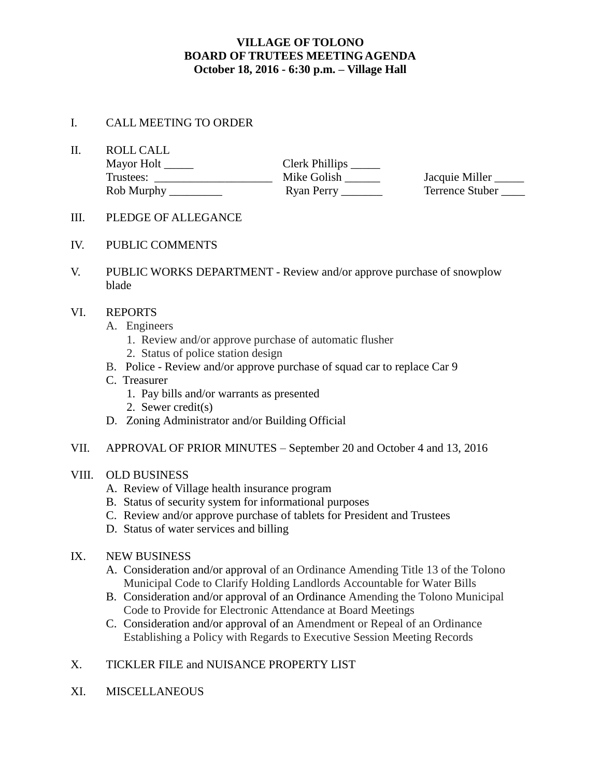# **VILLAGE OF TOLONO BOARD OF TRUTEES MEETING AGENDA October 18, 2016 - 6:30 p.m. – Village Hall**

#### I. CALL MEETING TO ORDER

II. ROLL CALL

| Mayor Holt | Clerk Phillips _ |                 |
|------------|------------------|-----------------|
| Trustees:  | Mike Golish      | Jacquie Miller  |
| Rob Murphy | Ryan Perry       | Terrence Stuber |

- III. PLEDGE OF ALLEGANCE
- IV. PUBLIC COMMENTS
- V. PUBLIC WORKS DEPARTMENT Review and/or approve purchase of snowplow blade

#### VI. REPORTS

- A. Engineers
	- 1. Review and/or approve purchase of automatic flusher
	- 2. Status of police station design
- B. Police Review and/or approve purchase of squad car to replace Car 9
- C. Treasurer
	- 1. Pay bills and/or warrants as presented
	- 2. Sewer credit(s)
- D. Zoning Administrator and/or Building Official
- VII. APPROVAL OF PRIOR MINUTES September 20 and October 4 and 13, 2016

### VIII. OLD BUSINESS

- A. Review of Village health insurance program
- B. Status of security system for informational purposes
- C. Review and/or approve purchase of tablets for President and Trustees
- D. Status of water services and billing

#### IX. NEW BUSINESS

- A. Consideration and/or approval of an Ordinance Amending Title 13 of the Tolono Municipal Code to Clarify Holding Landlords Accountable for Water Bills
- B. Consideration and/or approval of an Ordinance Amending the Tolono Municipal Code to Provide for Electronic Attendance at Board Meetings
- C. Consideration and/or approval of an Amendment or Repeal of an Ordinance Establishing a Policy with Regards to Executive Session Meeting Records

# X. TICKLER FILE and NUISANCE PROPERTY LIST

XI. MISCELLANEOUS